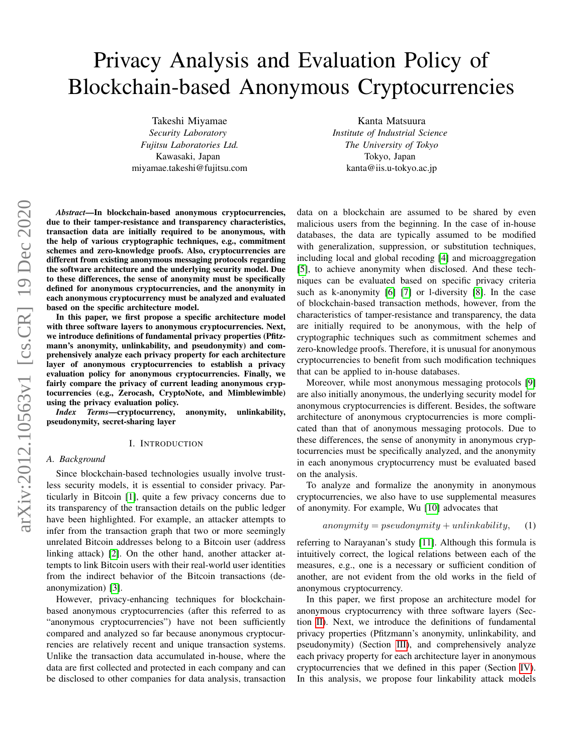# Privacy Analysis and Evaluation Policy of Blockchain-based Anonymous Cryptocurrencies

Takeshi Miyamae *Security Laboratory Fujitsu Laboratories Ltd.* Kawasaki, Japan miyamae.takeshi@fujitsu.com

Kanta Matsuura *Institute of Industrial Science The University of Tokyo* Tokyo, Japan kanta@iis.u-tokyo.ac.jp

*Abstract*—In blockchain-based anonymous cryptocurrencies, due to their tamper-resistance and transparency characteristics, transaction data are initially required to be anonymous, with the help of various cryptographic techniques, e.g., commitment schemes and zero-knowledge proofs. Also, cryptocurrencies are different from existing anonymous messaging protocols regarding the software architecture and the underlying security model. Due to these differences, the sense of anonymity must be specifically defined for anonymous cryptocurrencies, and the anonymity in each anonymous cryptocurrency must be analyzed and evaluated based on the specific architecture model.

In this paper, we first propose a specific architecture model with three software layers to anonymous cryptocurrencies. Next, we introduce definitions of fundamental privacy properties (Pfitzmann's anonymity, unlinkability, and pseudonymity) and comprehensively analyze each privacy property for each architecture layer of anonymous cryptocurrencies to establish a privacy evaluation policy for anonymous cryptocurrencies. Finally, we fairly compare the privacy of current leading anonymous cryptocurrencies (e.g., Zerocash, CryptoNote, and Mimblewimble) using the privacy evaluation policy.

*Index Terms*—cryptocurrency, anonymity, unlinkability, pseudonymity, secret-sharing layer

#### I. INTRODUCTION

#### *A. Background*

Since blockchain-based technologies usually involve trustless security models, it is essential to consider privacy. Particularly in Bitcoin [\[1\]](#page-8-0), quite a few privacy concerns due to its transparency of the transaction details on the public ledger have been highlighted. For example, an attacker attempts to infer from the transaction graph that two or more seemingly unrelated Bitcoin addresses belong to a Bitcoin user (address linking attack) [\[2\]](#page-8-1). On the other hand, another attacker attempts to link Bitcoin users with their real-world user identities from the indirect behavior of the Bitcoin transactions (deanonymization) [\[3\]](#page-8-2).

However, privacy-enhancing techniques for blockchainbased anonymous cryptocurrencies (after this referred to as "anonymous cryptocurrencies") have not been sufficiently compared and analyzed so far because anonymous cryptocurrencies are relatively recent and unique transaction systems. Unlike the transaction data accumulated in-house, where the data are first collected and protected in each company and can be disclosed to other companies for data analysis, transaction data on a blockchain are assumed to be shared by even malicious users from the beginning. In the case of in-house databases, the data are typically assumed to be modified with generalization, suppression, or substitution techniques, including local and global recoding [\[4\]](#page-8-3) and microaggregation [\[5\]](#page-8-4), to achieve anonymity when disclosed. And these techniques can be evaluated based on specific privacy criteria such as k-anonymity [\[6\]](#page-8-5) [\[7\]](#page-8-6) or l-diversity [\[8\]](#page-8-7). In the case of blockchain-based transaction methods, however, from the characteristics of tamper-resistance and transparency, the data are initially required to be anonymous, with the help of cryptographic techniques such as commitment schemes and zero-knowledge proofs. Therefore, it is unusual for anonymous cryptocurrencies to benefit from such modification techniques that can be applied to in-house databases.

Moreover, while most anonymous messaging protocols [\[9\]](#page-8-8) are also initially anonymous, the underlying security model for anonymous cryptocurrencies is different. Besides, the software architecture of anonymous cryptocurrencies is more complicated than that of anonymous messaging protocols. Due to these differences, the sense of anonymity in anonymous cryptocurrencies must be specifically analyzed, and the anonymity in each anonymous cryptocurrency must be evaluated based on the analysis.

To analyze and formalize the anonymity in anonymous cryptocurrencies, we also have to use supplemental measures of anonymity. For example, Wu [\[10\]](#page-8-9) advocates that

## $anonymity = pseudonymity + unlinkability,$  (1)

referring to Narayanan's study [\[11\]](#page-8-10). Although this formula is intuitively correct, the logical relations between each of the measures, e.g., one is a necessary or sufficient condition of another, are not evident from the old works in the field of anonymous cryptocurrency.

In this paper, we first propose an architecture model for anonymous cryptocurrency with three software layers (Section [II\)](#page-1-0). Next, we introduce the definitions of fundamental privacy properties (Pfitzmann's anonymity, unlinkability, and pseudonymity) (Section [III\)](#page-1-1), and comprehensively analyze each privacy property for each architecture layer in anonymous cryptocurrencies that we defined in this paper (Section [IV\)](#page-3-0). In this analysis, we propose four linkability attack models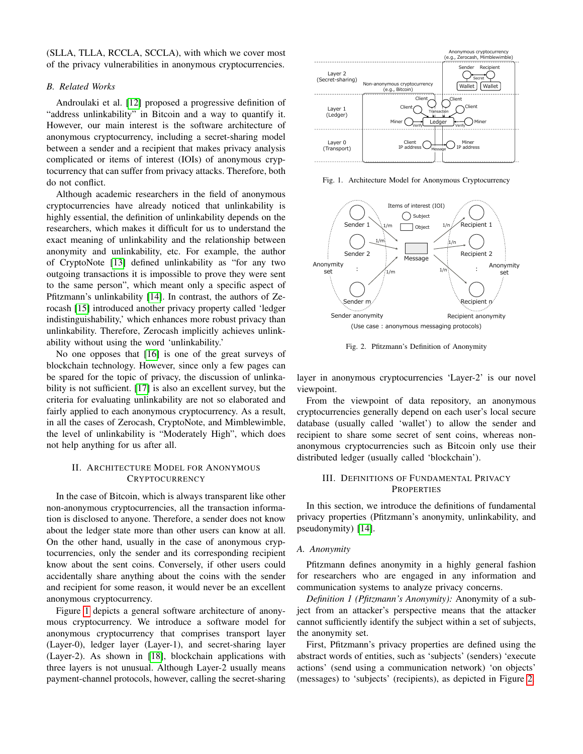(SLLA, TLLA, RCCLA, SCCLA), with which we cover most of the privacy vulnerabilities in anonymous cryptocurrencies.

#### *B. Related Works*

Androulaki et al. [\[12\]](#page-8-11) proposed a progressive definition of "address unlinkability" in Bitcoin and a way to quantify it. However, our main interest is the software architecture of anonymous cryptocurrency, including a secret-sharing model between a sender and a recipient that makes privacy analysis complicated or items of interest (IOIs) of anonymous cryptocurrency that can suffer from privacy attacks. Therefore, both do not conflict.

Although academic researchers in the field of anonymous cryptocurrencies have already noticed that unlinkability is highly essential, the definition of unlinkability depends on the researchers, which makes it difficult for us to understand the exact meaning of unlinkability and the relationship between anonymity and unlinkability, etc. For example, the author of CryptoNote [\[13\]](#page-8-12) defined unlinkability as "for any two outgoing transactions it is impossible to prove they were sent to the same person", which meant only a specific aspect of Pfitzmann's unlinkability [\[14\]](#page-8-13). In contrast, the authors of Zerocash [\[15\]](#page-8-14) introduced another privacy property called 'ledger indistinguishability,' which enhances more robust privacy than unlinkability. Therefore, Zerocash implicitly achieves unlinkability without using the word 'unlinkability.'

No one opposes that [\[16\]](#page-8-15) is one of the great surveys of blockchain technology. However, since only a few pages can be spared for the topic of privacy, the discussion of unlinkability is not sufficient. [\[17\]](#page-8-16) is also an excellent survey, but the criteria for evaluating unlinkability are not so elaborated and fairly applied to each anonymous cryptocurrency. As a result, in all the cases of Zerocash, CryptoNote, and Mimblewimble, the level of unlinkability is "Moderately High", which does not help anything for us after all.

# <span id="page-1-0"></span>II. ARCHITECTURE MODEL FOR ANONYMOUS **CRYPTOCURRENCY**

In the case of Bitcoin, which is always transparent like other non-anonymous cryptocurrencies, all the transaction information is disclosed to anyone. Therefore, a sender does not know about the ledger state more than other users can know at all. On the other hand, usually in the case of anonymous cryptocurrencies, only the sender and its corresponding recipient know about the sent coins. Conversely, if other users could accidentally share anything about the coins with the sender and recipient for some reason, it would never be an excellent anonymous cryptocurrency.

Figure [1](#page-1-2) depicts a general software architecture of anonymous cryptocurrency. We introduce a software model for anonymous cryptocurrency that comprises transport layer (Layer-0), ledger layer (Layer-1), and secret-sharing layer (Layer-2). As shown in [\[18\]](#page-8-17), blockchain applications with three layers is not unusual. Although Layer-2 usually means payment-channel protocols, however, calling the secret-sharing



<span id="page-1-2"></span>Fig. 1. Architecture Model for Anonymous Cryptocurrency



<span id="page-1-3"></span>Fig. 2. Pfitzmann's Definition of Anonymity

layer in anonymous cryptocurrencies 'Layer-2' is our novel viewpoint.

From the viewpoint of data repository, an anonymous cryptocurrencies generally depend on each user's local secure database (usually called 'wallet') to allow the sender and recipient to share some secret of sent coins, whereas nonanonymous cryptocurrencies such as Bitcoin only use their distributed ledger (usually called 'blockchain').

# <span id="page-1-1"></span>III. DEFINITIONS OF FUNDAMENTAL PRIVACY **PROPERTIES**

In this section, we introduce the definitions of fundamental privacy properties (Pfitzmann's anonymity, unlinkability, and pseudonymity) [\[14\]](#page-8-13).

# <span id="page-1-4"></span>*A. Anonymity*

Pfitzmann defines anonymity in a highly general fashion for researchers who are engaged in any information and communication systems to analyze privacy concerns.

*Definition 1 (Pfitzmann's Anonymity):* Anonymity of a subject from an attacker's perspective means that the attacker cannot sufficiently identify the subject within a set of subjects, the anonymity set.

First, Pfitzmann's privacy properties are defined using the abstract words of entities, such as 'subjects' (senders) 'execute actions' (send using a communication network) 'on objects' (messages) to 'subjects' (recipients), as depicted in Figure [2.](#page-1-3)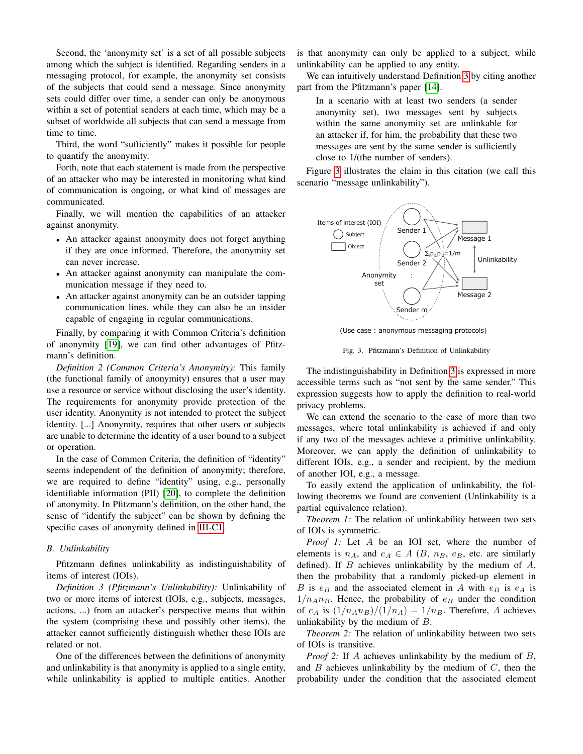Second, the 'anonymity set' is a set of all possible subjects among which the subject is identified. Regarding senders in a messaging protocol, for example, the anonymity set consists of the subjects that could send a message. Since anonymity sets could differ over time, a sender can only be anonymous within a set of potential senders at each time, which may be a subset of worldwide all subjects that can send a message from time to time.

Third, the word "sufficiently" makes it possible for people to quantify the anonymity.

Forth, note that each statement is made from the perspective of an attacker who may be interested in monitoring what kind of communication is ongoing, or what kind of messages are communicated.

Finally, we will mention the capabilities of an attacker against anonymity.

- An attacker against anonymity does not forget anything if they are once informed. Therefore, the anonymity set can never increase.
- An attacker against anonymity can manipulate the communication message if they need to.
- An attacker against anonymity can be an outsider tapping communication lines, while they can also be an insider capable of engaging in regular communications.

Finally, by comparing it with Common Criteria's definition of anonymity [\[19\]](#page-8-18), we can find other advantages of Pfitzmann's definition.

*Definition 2 (Common Criteria's Anonymity):* This family (the functional family of anonymity) ensures that a user may use a resource or service without disclosing the user's identity. The requirements for anonymity provide protection of the user identity. Anonymity is not intended to protect the subject identity. [...] Anonymity, requires that other users or subjects are unable to determine the identity of a user bound to a subject or operation.

In the case of Common Criteria, the definition of "identity" seems independent of the definition of anonymity; therefore, we are required to define "identity" using, e.g., personally identifiable information (PII) [\[20\]](#page-8-19), to complete the definition of anonymity. In Pfitzmann's definition, on the other hand, the sense of "identify the subject" can be shown by defining the specific cases of anonymity defined in [III-C1.](#page-3-1)

#### <span id="page-2-2"></span>*B. Unlinkability*

Pfitzmann defines unlinkability as indistinguishability of items of interest (IOIs).

<span id="page-2-0"></span>*Definition 3 (Pfitzmann's Unlinkability):* Unlinkability of two or more items of interest (IOIs, e.g., subjects, messages, actions, ...) from an attacker's perspective means that within the system (comprising these and possibly other items), the attacker cannot sufficiently distinguish whether these IOIs are related or not.

One of the differences between the definitions of anonymity and unlinkability is that anonymity is applied to a single entity, while unlinkability is applied to multiple entities. Another is that anonymity can only be applied to a subject, while unlinkability can be applied to any entity.

We can intuitively understand Definition [3](#page-2-0) by citing another part from the Pfitzmann's paper [\[14\]](#page-8-13).

In a scenario with at least two senders (a sender anonymity set), two messages sent by subjects within the same anonymity set are unlinkable for an attacker if, for him, the probability that these two messages are sent by the same sender is sufficiently close to 1/(the number of senders).

Figure [3](#page-2-1) illustrates the claim in this citation (we call this scenario "message unlinkability").



(Use case : anonymous messaging protocols)

<span id="page-2-1"></span>Fig. 3. Pfitzmann's Definition of Unlinkability

The indistinguishability in Definition [3](#page-2-0) is expressed in more accessible terms such as "not sent by the same sender." This expression suggests how to apply the definition to real-world privacy problems.

We can extend the scenario to the case of more than two messages, where total unlinkability is achieved if and only if any two of the messages achieve a primitive unlinkability. Moreover, we can apply the definition of unlinkability to different IOIs, e.g., a sender and recipient, by the medium of another IOI, e.g., a message.

To easily extend the application of unlinkability, the following theorems we found are convenient (Unlinkability is a partial equivalence relation).

*Theorem 1:* The relation of unlinkability between two sets of IOIs is symmetric.

*Proof 1:* Let A be an IOI set, where the number of elements is  $n_A$ , and  $e_A \in A$  (B,  $n_B$ ,  $e_B$ , etc. are similarly defined). If  $B$  achieves unlinkability by the medium of  $A$ , then the probability that a randomly picked-up element in B is  $e_B$  and the associated element in A with  $e_B$  is  $e_A$  is  $1/n_A n_B$ . Hence, the probability of  $e_B$  under the condition of  $e_A$  is  $\left(\frac{1}{n_A n_B}\right)/(1/n_A) = \frac{1}{n_B}$ . Therefore, A achieves unlinkability by the medium of  $B$ .

*Theorem 2:* The relation of unlinkability between two sets of IOIs is transitive.

*Proof 2:* If A achieves unlinkability by the medium of B, and  $B$  achieves unlinkability by the medium of  $C$ , then the probability under the condition that the associated element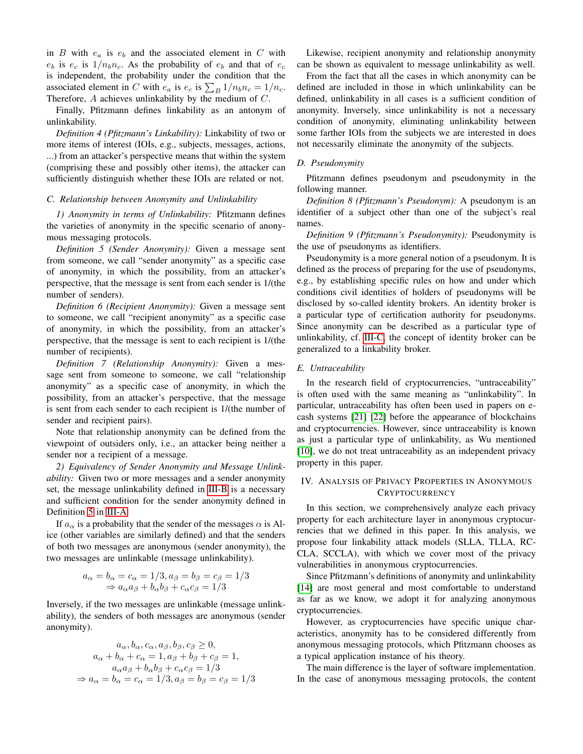in  $B$  with  $e_a$  is  $e_b$  and the associated element in  $C$  with  $e_b$  is  $e_c$  is  $1/n_b n_c$ . As the probability of  $e_b$  and that of  $e_c$ is independent, the probability under the condition that the associated element in C with  $e_a$  is  $e_c$  is  $\sum_B 1/n_b n_c = 1/n_c$ . Therefore, A achieves unlinkability by the medium of C.

Finally, Pfitzmann defines linkability as an antonym of unlinkability.

*Definition 4 (Pfitzmann's Linkability):* Linkability of two or more items of interest (IOIs, e.g., subjects, messages, actions, ...) from an attacker's perspective means that within the system (comprising these and possibly other items), the attacker can sufficiently distinguish whether these IOIs are related or not.

## <span id="page-3-3"></span>*C. Relationship between Anonymity and Unlinkability*

<span id="page-3-1"></span>*1) Anonymity in terms of Unlinkability:* Pfitzmann defines the varieties of anonymity in the specific scenario of anonymous messaging protocols.

<span id="page-3-2"></span>*Definition 5 (Sender Anonymity):* Given a message sent from someone, we call "sender anonymity" as a specific case of anonymity, in which the possibility, from an attacker's perspective, that the message is sent from each sender is 1/(the number of senders).

*Definition 6 (Recipient Anonymity):* Given a message sent to someone, we call "recipient anonymity" as a specific case of anonymity, in which the possibility, from an attacker's perspective, that the message is sent to each recipient is 1/(the number of recipients).

*Definition 7 (Relationship Anonymity):* Given a message sent from someone to someone, we call "relationship anonymity" as a specific case of anonymity, in which the possibility, from an attacker's perspective, that the message is sent from each sender to each recipient is 1/(the number of sender and recipient pairs).

Note that relationship anonymity can be defined from the viewpoint of outsiders only, i.e., an attacker being neither a sender nor a recipient of a message.

*2) Equivalency of Sender Anonymity and Message Unlinkability:* Given two or more messages and a sender anonymity set, the message unlinkability defined in [III-B](#page-2-2) is a necessary and sufficient condition for the sender anonymity defined in Definition [5](#page-3-2) in [III-A.](#page-1-4)

If  $a_{\alpha}$  is a probability that the sender of the messages  $\alpha$  is Alice (other variables are similarly defined) and that the senders of both two messages are anonymous (sender anonymity), the two messages are unlinkable (message unlinkability).

$$
a_{\alpha} = b_{\alpha} = c_{\alpha} = 1/3, a_{\beta} = b_{\beta} = c_{\beta} = 1/3
$$
  
\n
$$
\Rightarrow a_{\alpha}a_{\beta} + b_{\alpha}b_{\beta} + c_{\alpha}c_{\beta} = 1/3
$$

Inversely, if the two messages are unlinkable (message unlinkability), the senders of both messages are anonymous (sender anonymity).

$$
a_{\alpha}, b_{\alpha}, c_{\alpha}, a_{\beta}, b_{\beta}, c_{\beta} \ge 0,
$$
  
\n
$$
a_{\alpha} + b_{\alpha} + c_{\alpha} = 1, a_{\beta} + b_{\beta} + c_{\beta} = 1,
$$
  
\n
$$
a_{\alpha}a_{\beta} + b_{\alpha}b_{\beta} + c_{\alpha}c_{\beta} = 1/3
$$
  
\n
$$
\Rightarrow a_{\alpha} = b_{\alpha} = c_{\alpha} = 1/3, a_{\beta} = b_{\beta} = c_{\beta} = 1/3
$$

Likewise, recipient anonymity and relationship anonymity can be shown as equivalent to message unlinkability as well.

From the fact that all the cases in which anonymity can be defined are included in those in which unlinkability can be defined, unlinkability in all cases is a sufficient condition of anonymity. Inversely, since unlinkability is not a necessary condition of anonymity, eliminating unlinkability between some farther IOIs from the subjects we are interested in does not necessarily eliminate the anonymity of the subjects.

## *D. Pseudonymity*

Pfitzmann defines pseudonym and pseudonymity in the following manner.

*Definition 8 (Pfitzmann's Pseudonym):* A pseudonym is an identifier of a subject other than one of the subject's real names.

*Definition 9 (Pfitzmann's Pseudonymity):* Pseudonymity is the use of pseudonyms as identifiers.

Pseudonymity is a more general notion of a pseudonym. It is defined as the process of preparing for the use of pseudonyms, e.g., by establishing specific rules on how and under which conditions civil identities of holders of pseudonyms will be disclosed by so-called identity brokers. An identity broker is a particular type of certification authority for pseudonyms. Since anonymity can be described as a particular type of unlinkability, cf. [III-C,](#page-3-3) the concept of identity broker can be generalized to a linkability broker.

#### *E. Untraceability*

In the research field of cryptocurrencies, "untraceability" is often used with the same meaning as "unlinkability". In particular, untraceability has often been used in papers on ecash systems [\[21\]](#page-8-20) [\[22\]](#page-8-21) before the appearance of blockchains and cryptocurrencies. However, since untraceability is known as just a particular type of unlinkability, as Wu mentioned [\[10\]](#page-8-9), we do not treat untraceability as an independent privacy property in this paper.

# <span id="page-3-0"></span>IV. ANALYSIS OF PRIVACY PROPERTIES IN ANONYMOUS **CRYPTOCURRENCY**

In this section, we comprehensively analyze each privacy property for each architecture layer in anonymous cryptocurrencies that we defined in this paper. In this analysis, we propose four linkability attack models (SLLA, TLLA, RC-CLA, SCCLA), with which we cover most of the privacy vulnerabilities in anonymous cryptocurrencies.

Since Pfitzmann's definitions of anonymity and unlinkability [\[14\]](#page-8-13) are most general and most comfortable to understand as far as we know, we adopt it for analyzing anonymous cryptocurrencies.

However, as cryptocurrencies have specific unique characteristics, anonymity has to be considered differently from anonymous messaging protocols, which Pfitzmann chooses as a typical application instance of his theory.

The main difference is the layer of software implementation. In the case of anonymous messaging protocols, the content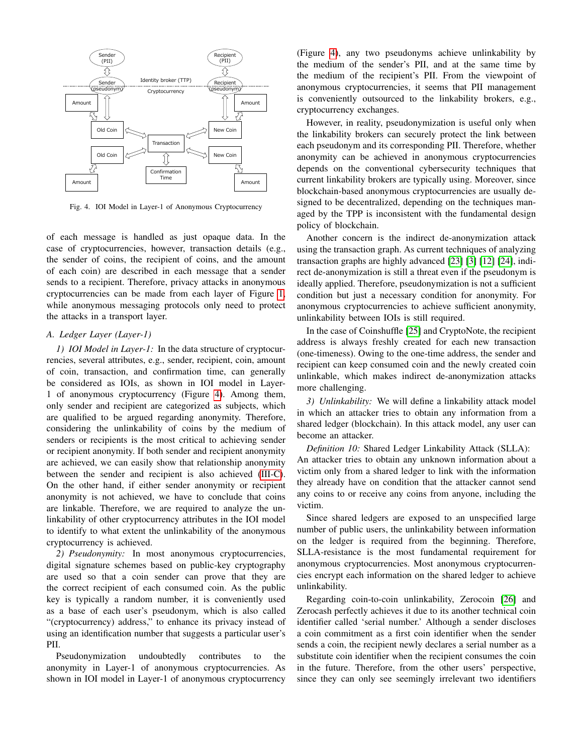

<span id="page-4-0"></span>Fig. 4. IOI Model in Layer-1 of Anonymous Cryptocurrency

of each message is handled as just opaque data. In the case of cryptocurrencies, however, transaction details (e.g., the sender of coins, the recipient of coins, and the amount of each coin) are described in each message that a sender sends to a recipient. Therefore, privacy attacks in anonymous cryptocurrencies can be made from each layer of Figure [1,](#page-1-2) while anonymous messaging protocols only need to protect the attacks in a transport layer.

# *A. Ledger Layer (Layer-1)*

*1) IOI Model in Layer-1:* In the data structure of cryptocurrencies, several attributes, e.g., sender, recipient, coin, amount of coin, transaction, and confirmation time, can generally be considered as IOIs, as shown in IOI model in Layer-1 of anonymous cryptocurrency (Figure [4\)](#page-4-0). Among them, only sender and recipient are categorized as subjects, which are qualified to be argued regarding anonymity. Therefore, considering the unlinkability of coins by the medium of senders or recipients is the most critical to achieving sender or recipient anonymity. If both sender and recipient anonymity are achieved, we can easily show that relationship anonymity between the sender and recipient is also achieved [\(III-C\)](#page-3-3). On the other hand, if either sender anonymity or recipient anonymity is not achieved, we have to conclude that coins are linkable. Therefore, we are required to analyze the unlinkability of other cryptocurrency attributes in the IOI model to identify to what extent the unlinkability of the anonymous cryptocurrency is achieved.

<span id="page-4-1"></span>*2) Pseudonymity:* In most anonymous cryptocurrencies, digital signature schemes based on public-key cryptography are used so that a coin sender can prove that they are the correct recipient of each consumed coin. As the public key is typically a random number, it is conveniently used as a base of each user's pseudonym, which is also called "(cryptocurrency) address," to enhance its privacy instead of using an identification number that suggests a particular user's PII.

Pseudonymization undoubtedly contributes to the anonymity in Layer-1 of anonymous cryptocurrencies. As shown in IOI model in Layer-1 of anonymous cryptocurrency

(Figure [4\)](#page-4-0), any two pseudonyms achieve unlinkability by the medium of the sender's PII, and at the same time by the medium of the recipient's PII. From the viewpoint of anonymous cryptocurrencies, it seems that PII management is conveniently outsourced to the linkability brokers, e.g., cryptocurrency exchanges.

However, in reality, pseudonymization is useful only when the linkability brokers can securely protect the link between each pseudonym and its corresponding PII. Therefore, whether anonymity can be achieved in anonymous cryptocurrencies depends on the conventional cybersecurity techniques that current linkability brokers are typically using. Moreover, since blockchain-based anonymous cryptocurrencies are usually designed to be decentralized, depending on the techniques managed by the TPP is inconsistent with the fundamental design policy of blockchain.

Another concern is the indirect de-anonymization attack using the transaction graph. As current techniques of analyzing transaction graphs are highly advanced [\[23\]](#page-8-22) [\[3\]](#page-8-2) [\[12\]](#page-8-11) [\[24\]](#page-8-23), indirect de-anonymization is still a threat even if the pseudonym is ideally applied. Therefore, pseudonymization is not a sufficient condition but just a necessary condition for anonymity. For anonymous cryptocurrencies to achieve sufficient anonymity, unlinkability between IOIs is still required.

In the case of Coinshuffle [\[25\]](#page-8-24) and CryptoNote, the recipient address is always freshly created for each new transaction (one-timeness). Owing to the one-time address, the sender and recipient can keep consumed coin and the newly created coin unlinkable, which makes indirect de-anonymization attacks more challenging.

<span id="page-4-2"></span>*3) Unlinkability:* We will define a linkability attack model in which an attacker tries to obtain any information from a shared ledger (blockchain). In this attack model, any user can become an attacker.

*Definition 10:* Shared Ledger Linkability Attack (SLLA): An attacker tries to obtain any unknown information about a victim only from a shared ledger to link with the information they already have on condition that the attacker cannot send any coins to or receive any coins from anyone, including the victim.

Since shared ledgers are exposed to an unspecified large number of public users, the unlinkability between information on the ledger is required from the beginning. Therefore, SLLA-resistance is the most fundamental requirement for anonymous cryptocurrencies. Most anonymous cryptocurrencies encrypt each information on the shared ledger to achieve unlinkability.

Regarding coin-to-coin unlinkability, Zerocoin [\[26\]](#page-8-25) and Zerocash perfectly achieves it due to its another technical coin identifier called 'serial number.' Although a sender discloses a coin commitment as a first coin identifier when the sender sends a coin, the recipient newly declares a serial number as a substitute coin identifier when the recipient consumes the coin in the future. Therefore, from the other users' perspective, since they can only see seemingly irrelevant two identifiers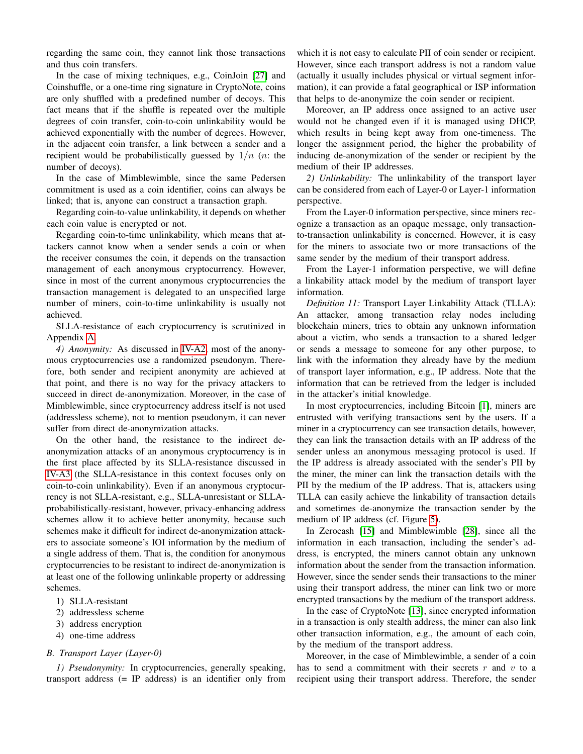regarding the same coin, they cannot link those transactions and thus coin transfers.

In the case of mixing techniques, e.g., CoinJoin [\[27\]](#page-8-26) and Coinshuffle, or a one-time ring signature in CryptoNote, coins are only shuffled with a predefined number of decoys. This fact means that if the shuffle is repeated over the multiple degrees of coin transfer, coin-to-coin unlinkability would be achieved exponentially with the number of degrees. However, in the adjacent coin transfer, a link between a sender and a recipient would be probabilistically guessed by  $1/n$  (*n*: the number of decoys).

In the case of Mimblewimble, since the same Pedersen commitment is used as a coin identifier, coins can always be linked; that is, anyone can construct a transaction graph.

Regarding coin-to-value unlinkability, it depends on whether each coin value is encrypted or not.

Regarding coin-to-time unlinkability, which means that attackers cannot know when a sender sends a coin or when the receiver consumes the coin, it depends on the transaction management of each anonymous cryptocurrency. However, since in most of the current anonymous cryptocurrencies the transaction management is delegated to an unspecified large number of miners, coin-to-time unlinkability is usually not achieved.

SLLA-resistance of each cryptocurrency is scrutinized in Appendix [A.](#page-8-27)

*4) Anonymity:* As discussed in [IV-A2,](#page-4-1) most of the anonymous cryptocurrencies use a randomized pseudonym. Therefore, both sender and recipient anonymity are achieved at that point, and there is no way for the privacy attackers to succeed in direct de-anonymization. Moreover, in the case of Mimblewimble, since cryptocurrency address itself is not used (addressless scheme), not to mention pseudonym, it can never suffer from direct de-anonymization attacks.

On the other hand, the resistance to the indirect deanonymization attacks of an anonymous cryptocurrency is in the first place affected by its SLLA-resistance discussed in [IV-A3](#page-4-2) (the SLLA-resistance in this context focuses only on coin-to-coin unlinkability). Even if an anonymous cryptocurrency is not SLLA-resistant, e.g., SLLA-unresistant or SLLAprobabilistically-resistant, however, privacy-enhancing address schemes allow it to achieve better anonymity, because such schemes make it difficult for indirect de-anonymization attackers to associate someone's IOI information by the medium of a single address of them. That is, the condition for anonymous cryptocurrencies to be resistant to indirect de-anonymization is at least one of the following unlinkable property or addressing schemes.

- 1) SLLA-resistant
- 2) addressless scheme
- 3) address encryption
- 4) one-time address

# *B. Transport Layer (Layer-0)*

*1) Pseudonymity:* In cryptocurrencies, generally speaking, transport address (= IP address) is an identifier only from which it is not easy to calculate PII of coin sender or recipient. However, since each transport address is not a random value (actually it usually includes physical or virtual segment information), it can provide a fatal geographical or ISP information that helps to de-anonymize the coin sender or recipient.

Moreover, an IP address once assigned to an active user would not be changed even if it is managed using DHCP, which results in being kept away from one-timeness. The longer the assignment period, the higher the probability of inducing de-anonymization of the sender or recipient by the medium of their IP addresses.

<span id="page-5-0"></span>*2) Unlinkability:* The unlinkability of the transport layer can be considered from each of Layer-0 or Layer-1 information perspective.

From the Layer-0 information perspective, since miners recognize a transaction as an opaque message, only transactionto-transaction unlinkability is concerned. However, it is easy for the miners to associate two or more transactions of the same sender by the medium of their transport address.

From the Layer-1 information perspective, we will define a linkability attack model by the medium of transport layer information.

*Definition 11:* Transport Layer Linkability Attack (TLLA): An attacker, among transaction relay nodes including blockchain miners, tries to obtain any unknown information about a victim, who sends a transaction to a shared ledger or sends a message to someone for any other purpose, to link with the information they already have by the medium of transport layer information, e.g., IP address. Note that the information that can be retrieved from the ledger is included in the attacker's initial knowledge.

In most cryptocurrencies, including Bitcoin [\[1\]](#page-8-0), miners are entrusted with verifying transactions sent by the users. If a miner in a cryptocurrency can see transaction details, however, they can link the transaction details with an IP address of the sender unless an anonymous messaging protocol is used. If the IP address is already associated with the sender's PII by the miner, the miner can link the transaction details with the PII by the medium of the IP address. That is, attackers using TLLA can easily achieve the linkability of transaction details and sometimes de-anonymize the transaction sender by the medium of IP address (cf. Figure [5\)](#page-6-0).

In Zerocash [\[15\]](#page-8-14) and Mimblewimble [\[28\]](#page-8-28), since all the information in each transaction, including the sender's address, is encrypted, the miners cannot obtain any unknown information about the sender from the transaction information. However, since the sender sends their transactions to the miner using their transport address, the miner can link two or more encrypted transactions by the medium of the transport address.

In the case of CryptoNote [\[13\]](#page-8-12), since encrypted information in a transaction is only stealth address, the miner can also link other transaction information, e.g., the amount of each coin, by the medium of the transport address.

Moreover, in the case of Mimblewimble, a sender of a coin has to send a commitment with their secrets  $r$  and  $v$  to a recipient using their transport address. Therefore, the sender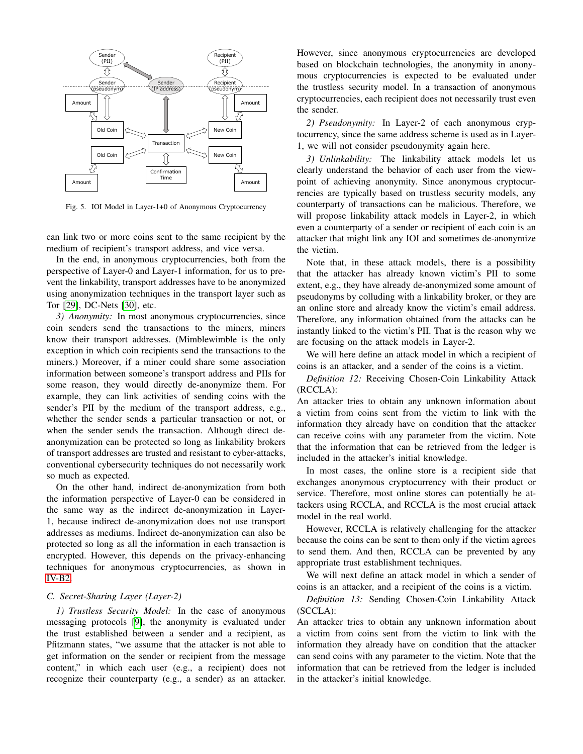

<span id="page-6-0"></span>Fig. 5. IOI Model in Layer-1+0 of Anonymous Cryptocurrency

can link two or more coins sent to the same recipient by the medium of recipient's transport address, and vice versa.

In the end, in anonymous cryptocurrencies, both from the perspective of Layer-0 and Layer-1 information, for us to prevent the linkability, transport addresses have to be anonymized using anonymization techniques in the transport layer such as Tor [\[29\]](#page-8-29), DC-Nets [\[30\]](#page-8-30), etc.

*3) Anonymity:* In most anonymous cryptocurrencies, since coin senders send the transactions to the miners, miners know their transport addresses. (Mimblewimble is the only exception in which coin recipients send the transactions to the miners.) Moreover, if a miner could share some association information between someone's transport address and PIIs for some reason, they would directly de-anonymize them. For example, they can link activities of sending coins with the sender's PII by the medium of the transport address, e.g., whether the sender sends a particular transaction or not, or when the sender sends the transaction. Although direct deanonymization can be protected so long as linkability brokers of transport addresses are trusted and resistant to cyber-attacks, conventional cybersecurity techniques do not necessarily work so much as expected.

On the other hand, indirect de-anonymization from both the information perspective of Layer-0 can be considered in the same way as the indirect de-anonymization in Layer-1, because indirect de-anonymization does not use transport addresses as mediums. Indirect de-anonymization can also be protected so long as all the information in each transaction is encrypted. However, this depends on the privacy-enhancing techniques for anonymous cryptocurrencies, as shown in [IV-B2.](#page-5-0)

# *C. Secret-Sharing Layer (Layer-2)*

*1) Trustless Security Model:* In the case of anonymous messaging protocols [\[9\]](#page-8-8), the anonymity is evaluated under the trust established between a sender and a recipient, as Pfitzmann states, "we assume that the attacker is not able to get information on the sender or recipient from the message content," in which each user (e.g., a recipient) does not recognize their counterparty (e.g., a sender) as an attacker. However, since anonymous cryptocurrencies are developed based on blockchain technologies, the anonymity in anonymous cryptocurrencies is expected to be evaluated under the trustless security model. In a transaction of anonymous cryptocurrencies, each recipient does not necessarily trust even the sender.

*2) Pseudonymity:* In Layer-2 of each anonymous cryptocurrency, since the same address scheme is used as in Layer-1, we will not consider pseudonymity again here.

*3) Unlinkability:* The linkability attack models let us clearly understand the behavior of each user from the viewpoint of achieving anonymity. Since anonymous cryptocurrencies are typically based on trustless security models, any counterparty of transactions can be malicious. Therefore, we will propose linkability attack models in Layer-2, in which even a counterparty of a sender or recipient of each coin is an attacker that might link any IOI and sometimes de-anonymize the victim.

Note that, in these attack models, there is a possibility that the attacker has already known victim's PII to some extent, e.g., they have already de-anonymized some amount of pseudonyms by colluding with a linkability broker, or they are an online store and already know the victim's email address. Therefore, any information obtained from the attacks can be instantly linked to the victim's PII. That is the reason why we are focusing on the attack models in Layer-2.

We will here define an attack model in which a recipient of coins is an attacker, and a sender of the coins is a victim.

*Definition 12:* Receiving Chosen-Coin Linkability Attack (RCCLA):

An attacker tries to obtain any unknown information about a victim from coins sent from the victim to link with the information they already have on condition that the attacker can receive coins with any parameter from the victim. Note that the information that can be retrieved from the ledger is included in the attacker's initial knowledge.

In most cases, the online store is a recipient side that exchanges anonymous cryptocurrency with their product or service. Therefore, most online stores can potentially be attackers using RCCLA, and RCCLA is the most crucial attack model in the real world.

However, RCCLA is relatively challenging for the attacker because the coins can be sent to them only if the victim agrees to send them. And then, RCCLA can be prevented by any appropriate trust establishment techniques.

We will next define an attack model in which a sender of coins is an attacker, and a recipient of the coins is a victim.

*Definition 13:* Sending Chosen-Coin Linkability Attack (SCCLA):

An attacker tries to obtain any unknown information about a victim from coins sent from the victim to link with the information they already have on condition that the attacker can send coins with any parameter to the victim. Note that the information that can be retrieved from the ledger is included in the attacker's initial knowledge.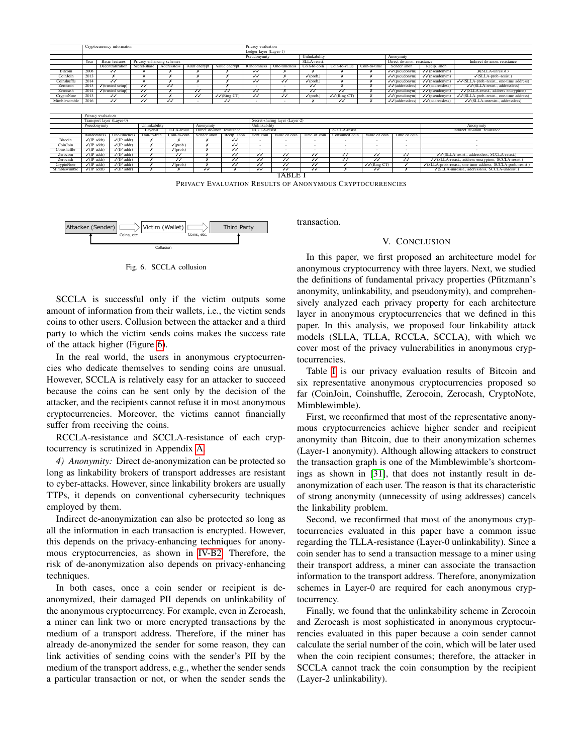|              | Cryptocurrency information |                                                    |                          |                         |                          |                                             |                         | Privacy evaluation             |                          |                           |                           |                                      |                                                              |                                                        |  |  |
|--------------|----------------------------|----------------------------------------------------|--------------------------|-------------------------|--------------------------|---------------------------------------------|-------------------------|--------------------------------|--------------------------|---------------------------|---------------------------|--------------------------------------|--------------------------------------------------------------|--------------------------------------------------------|--|--|
|              |                            |                                                    |                          |                         |                          |                                             | Ledger layer (Layer-1)  |                                |                          |                           |                           |                                      |                                                              |                                                        |  |  |
|              |                            |                                                    |                          |                         |                          |                                             | Pseudonymity            |                                | Unlinkability            |                           |                           | Anonymity                            |                                                              |                                                        |  |  |
|              | Year                       | <b>Basic</b> features<br>Privacy enhancing schemes |                          |                         |                          |                                             |                         |                                | SLLA-resist.             |                           |                           | Direct de-anon, resistance           |                                                              | Indirect de-anon, resistance                           |  |  |
|              |                            | Decentralization                                   | Secret-share             | Addressless             | Addr encrypt             | Value encrypt                               | Randomness              | One-timeness                   | Coin-to-coin             | Coin-to-value             | Coin-to-time              | Sender anon.                         | Recip. anon.                                                 |                                                        |  |  |
| Bitcoin      | 2008                       | $\overline{\mathcal{W}}$                           |                          |                         |                          |                                             | $\overline{\checkmark}$ | x                              |                          |                           |                           | $\sqrt{\sqrt{p^2(p^2-1)^2}}$         | $\sqrt{\sqrt{p}$ seudonym)                                   | $X(SLLA$ -unresist.)                                   |  |  |
| CoinJoin     | 2013                       |                                                    |                          |                         |                          |                                             | IJ                      |                                | $\sqrt{\text{(prob.)}}$  |                           |                           | $\sqrt{\sqrt{p}$ (pseudonym)         | $\sqrt{\sqrt{p}$ seudonym)                                   | $\sqrt{\text{(SLLA-prob - resist.)}}$                  |  |  |
| Coinshuffle  | 2014                       | JJ                                                 |                          |                         |                          |                                             | $\overline{\checkmark}$ | IJ                             | $\sqrt{\text{(prob.}}$   |                           |                           | $\sqrt{\sqrt{p}}$ (pseudonym)        | $\sqrt{\sqrt{p}}$ (pseudonym)                                | $\sqrt{\sqrt{(SLLA-prob.}$ resist., one-time address)  |  |  |
| Zerocoin     | 2013                       | $\checkmark$ (trusted setup)                       | $\overline{\checkmark}$  | ✓                       |                          |                                             |                         | $\overline{\phantom{a}}$       | $\checkmark$             |                           |                           | $\sqrt{\sqrt{\text{(addressless)}}}$ | $\sqrt{\sqrt{\text{(addressless)}}}$                         | $\sqrt{\sqrt{(SLLA\text{-}resist., addressless)}}$     |  |  |
| Zerocash     | 2014                       | $\sqrt{\text{(trusted setup)}}$                    | $\overline{\mathcal{W}}$ |                         | ✓                        | $\overline{\checkmark}$                     | $\overline{\checkmark}$ | x                              | √                        | JJ                        |                           | $\sqrt{\sqrt{p^2(p^2-1)}}$           | $\sqrt{\sqrt{\text{(pseudonym)}}}$                           | $\sqrt{\sqrt{(SLLA-resist., address encryption)}}$     |  |  |
| CryptoNote   | 2013                       | IJ                                                 | ₩                        |                         | N                        | $\sqrt{\sqrt{(}$ Ring CT)                   | $\overline{\checkmark}$ | ₩                              | $\sqrt{}$ (prob.         | $\sqrt{\sqrt{(Ring CT)}}$ |                           | $\sqrt{\sqrt{p}$ (pseudonym)         | $\sqrt{\sqrt{p}$ seudonym)                                   | $\sqrt{\sqrt{(SLLA-prob.}$ -resist., one-time address) |  |  |
| Mimblewimble | 2016                       | $\sqrt{2}$                                         | $\overline{\mathcal{U}}$ | √                       |                          | $\overline{\checkmark}$                     | $\sim$                  | $\sim$                         |                          | $\overline{\mathcal{U}}$  |                           | $\sqrt{\sqrt{\text{(addressless)}}}$ | $\sqrt{\checkmark}$ (addressless)                            | $\sqrt{\sqrt{(SLLA\text{-unresist.}, addressless)}}$   |  |  |
|              |                            |                                                    |                          |                         |                          |                                             |                         |                                |                          |                           |                           |                                      |                                                              |                                                        |  |  |
|              |                            |                                                    |                          |                         |                          |                                             |                         |                                |                          |                           |                           |                                      |                                                              |                                                        |  |  |
|              | Privacy evaluation         |                                                    |                          |                         |                          |                                             |                         |                                |                          |                           |                           |                                      |                                                              |                                                        |  |  |
|              | Transport layer (Layer-0)  |                                                    |                          |                         |                          |                                             |                         | Secret-sharing layer (Layer-2) |                          |                           |                           |                                      |                                                              |                                                        |  |  |
|              | Pseudonymity               |                                                    | Unlinkability            |                         |                          | Anonymity                                   |                         | Unlinkability<br>Anonymity     |                          |                           |                           |                                      |                                                              |                                                        |  |  |
|              |                            |                                                    | Laver-0                  | TLLA-resist.            |                          | RCCLA-resist.<br>Direct de-anon, resistance |                         |                                |                          | SCCLA-resist.             |                           | Indirect de-anon. resistance         |                                                              |                                                        |  |  |
|              | Randomness                 | One-timeness                                       | Tran-to-tran             | Coin-to-coin            | Sender anon.             | Recip, anon                                 | Sent coin               | Value of coin                  | Time of coin             | Consumed coin             | Value of coin             | Time of coin                         |                                                              |                                                        |  |  |
| Bitcoin      | $\sqrt{(IP \text{ addr})}$ | $\sqrt{(IP \text{ addr})}$                         | $\boldsymbol{x}$         |                         |                          | $\checkmark$                                |                         |                                | ۰                        | $\sim$                    |                           |                                      |                                                              |                                                        |  |  |
| CoinJoin     | $\sqrt{(IP \text{ addr})}$ | $\sqrt{(IP \text{ addr})}$                         |                          | $\checkmark$ (prob.)    |                          | √                                           | ۰                       | $\sim$                         | $\sim$                   | $\sim$                    | $\sim$                    | $\sim$                               | $\sim$                                                       |                                                        |  |  |
| Coinshuffle  | $\sqrt{(IP \text{ addr})}$ | $\sqrt{(IP \text{ addr})}$                         |                          | $\sqrt{\text{(prob.)}}$ | $\overline{\mathbf{x}}$  | $\overline{\mathcal{W}}$                    |                         | ٠                              | $\sim$                   | ۰                         | $\sim$                    | $\sim$                               |                                                              |                                                        |  |  |
| Zerocoin     | $\sqrt{(IP \text{ addr})}$ | $\sqrt{(IP \text{ addr})}$                         |                          | N                       |                          | IJ                                          | IJ                      | ₩                              | ₩                        | $\overline{\checkmark}$   | N                         | N                                    | //(SLLA-resist., addressless, SCCLA-resist.)                 |                                                        |  |  |
| Zerocash     | $\sqrt{(IP \text{ addr})}$ | $\sqrt{(IP \text{ addr})}$                         |                          | $\overline{J}$          |                          | $\checkmark$                                | IJ                      | JJ                             | $\overline{\checkmark}$  | $\overline{\mathcal{U}}$  | $\overline{\checkmark}$   | $\overline{\checkmark}$              | √ GLLA-resist., address encryption, SCCLA-resist.)           |                                                        |  |  |
| CryptoNote   | $\sqrt{(IP \text{ addr})}$ | $\sqrt{(IP \text{ addr})}$                         |                          | $\checkmark$ (prob.)    | $\boldsymbol{x}$         | √                                           | $\overline{\checkmark}$ | $\overline{\mathcal{U}}$       | $\overline{\mathcal{W}}$ |                           | $\sqrt{\sqrt{(}$ Ring CT) |                                      | √(SLLA-prob.-resist., one-time address, SCCLA-prob.-resist.) |                                                        |  |  |
| Mimblewimble | $\sqrt{(IP \text{ addr})}$ | $\sqrt{(IP \text{ addr})}$                         |                          |                         | $\overline{\mathcal{W}}$ |                                             | $\overline{\checkmark}$ | $\overline{\checkmark}$        | $\overline{\mathcal{W}}$ |                           | $\overline{\checkmark}$   |                                      | √(SLLA-unresist., addressless, SCCLA-unresist.)              |                                                        |  |  |
|              |                            |                                                    |                          |                         |                          |                                             |                         | TABLE                          |                          |                           |                           |                                      |                                                              |                                                        |  |  |
|              |                            |                                                    |                          |                         |                          |                                             |                         |                                |                          |                           |                           |                                      |                                                              |                                                        |  |  |

PRIVACY EVALUATION RESULTS OF ANONYMOUS CRYPTOCURRENCIES

<span id="page-7-1"></span>

<span id="page-7-0"></span>Fig. 6. SCCLA collusion

SCCLA is successful only if the victim outputs some amount of information from their wallets, i.e., the victim sends coins to other users. Collusion between the attacker and a third party to which the victim sends coins makes the success rate of the attack higher (Figure [6\)](#page-7-0).

In the real world, the users in anonymous cryptocurrencies who dedicate themselves to sending coins are unusual. However, SCCLA is relatively easy for an attacker to succeed because the coins can be sent only by the decision of the attacker, and the recipients cannot refuse it in most anonymous cryptocurrencies. Moreover, the victims cannot financially suffer from receiving the coins.

RCCLA-resistance and SCCLA-resistance of each cryptocurrency is scrutinized in Appendix [A.](#page-8-27)

*4) Anonymity:* Direct de-anonymization can be protected so long as linkability brokers of transport addresses are resistant to cyber-attacks. However, since linkability brokers are usually TTPs, it depends on conventional cybersecurity techniques employed by them.

Indirect de-anonymization can also be protected so long as all the information in each transaction is encrypted. However, this depends on the privacy-enhancing techniques for anonymous cryptocurrencies, as shown in [IV-B2.](#page-5-0) Therefore, the risk of de-anonymization also depends on privacy-enhancing techniques.

In both cases, once a coin sender or recipient is deanonymized, their damaged PII depends on unlinkability of the anonymous cryptocurrency. For example, even in Zerocash, a miner can link two or more encrypted transactions by the medium of a transport address. Therefore, if the miner has already de-anonymized the sender for some reason, they can link activities of sending coins with the sender's PII by the medium of the transport address, e.g., whether the sender sends a particular transaction or not, or when the sender sends the transaction.

## V. CONCLUSION

In this paper, we first proposed an architecture model for anonymous cryptocurrency with three layers. Next, we studied the definitions of fundamental privacy properties (Pfitzmann's anonymity, unlinkability, and pseudonymity), and comprehensively analyzed each privacy property for each architecture layer in anonymous cryptocurrencies that we defined in this paper. In this analysis, we proposed four linkability attack models (SLLA, TLLA, RCCLA, SCCLA), with which we cover most of the privacy vulnerabilities in anonymous cryptocurrencies.

Table [I](#page-7-1) is our privacy evaluation results of Bitcoin and six representative anonymous cryptocurrencies proposed so far (CoinJoin, Coinshuffle, Zerocoin, Zerocash, CryptoNote, Mimblewimble).

First, we reconfirmed that most of the representative anonymous cryptocurrencies achieve higher sender and recipient anonymity than Bitcoin, due to their anonymization schemes (Layer-1 anonymity). Although allowing attackers to construct the transaction graph is one of the Mimblewimble's shortcomings as shown in [\[31\]](#page-8-31), that does not instantly result in deanonymization of each user. The reason is that its characteristic of strong anonymity (unnecessity of using addresses) cancels the linkability problem.

Second, we reconfirmed that most of the anonymous cryptocurrencies evaluated in this paper have a common issue regarding the TLLA-resistance (Layer-0 unlinkability). Since a coin sender has to send a transaction message to a miner using their transport address, a miner can associate the transaction information to the transport address. Therefore, anonymization schemes in Layer-0 are required for each anonymous cryptocurrency.

Finally, we found that the unlinkability scheme in Zerocoin and Zerocash is most sophisticated in anonymous cryptocurrencies evaluated in this paper because a coin sender cannot calculate the serial number of the coin, which will be later used when the coin recipient consumes; therefore, the attacker in SCCLA cannot track the coin consumption by the recipient (Layer-2 unlinkability).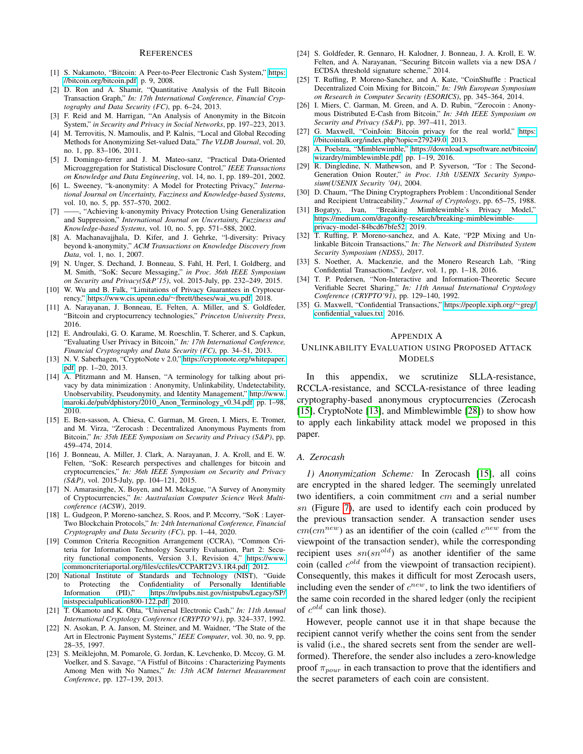## **REFERENCES**

- <span id="page-8-0"></span>[1] S. Nakamoto, "Bitcoin: A Peer-to-Peer Electronic Cash System," [https:](https://bitcoin.org/bitcoin.pdf) [//bitcoin.org/bitcoin.pdf,](https://bitcoin.org/bitcoin.pdf) p. 9, 2008.
- <span id="page-8-1"></span>[2] D. Ron and A. Shamir, "Quantitative Analysis of the Full Bitcoin Transaction Graph," *In: 17th International Conference, Financial Cryptography and Data Security (FC)*, pp. 6–24, 2013.
- <span id="page-8-2"></span>[3] F. Reid and M. Harrigan, "An Analysis of Anonymity in the Bitcoin System," *in Security and Privacy in Social Networks*, pp. 197–223, 2013.
- <span id="page-8-3"></span>[4] M. Terrovitis, N. Mamoulis, and P. Kalnis, "Local and Global Recoding Methods for Anonymizing Set-valued Data," *The VLDB Journal*, vol. 20, no. 1, pp. 83–106, 2011.
- <span id="page-8-4"></span>[5] J. Domingo-ferrer and J. M. Mateo-sanz, "Practical Data-Oriented Microaggregation for Statistical Disclosure Control," *IEEE Transactions on Knowledge and Data Engineering*, vol. 14, no. 1, pp. 189–201, 2002.
- <span id="page-8-5"></span>[6] L. Sweeney, "k-anonymity: A Model for Protecting Privacy," *International Journal on Uncertainty, Fuzziness and Knowledge-based Systems*, vol. 10, no. 5, pp. 557–570, 2002.
- <span id="page-8-6"></span>[7] ——, "Achieving k-anonymity Privacy Protection Using Generalization and Suppression," *International Journal on Uncertainty, Fuzziness and Knowledge-based Systems*, vol. 10, no. 5, pp. 571–588, 2002.
- <span id="page-8-7"></span>[8] A. Machanavajjhala, D. Kifer, and J. Gehrke, "l-diversity: Privacy beyond k-anonymity," *ACM Transactions on Knowledge Discovery from Data*, vol. 1, no. 1, 2007.
- <span id="page-8-8"></span>[9] N. Unger, S. Dechand, J. Bonneau, S. Fahl, H. Perl, I. Goldberg, and M. Smith, "SoK: Secure Messaging," *in Proc. 36th IEEE Symposium on Security and Privacy(S&P'15)*, vol. 2015-July, pp. 232–249, 2015.
- <span id="page-8-9"></span>[10] W. Wu and B. Falk, "Limitations of Privacy Guarantees in Cryptocurrency," [https://www.cis.upenn.edu/](https://www.cis.upenn.edu/~fbrett/theses/wai_wu.pdf)~fbrett/theses/wai\_wu.pdf, 2018.
- <span id="page-8-10"></span>[11] A. Narayanan, J. Bonneau, E. Felten, A. Miller, and S. Goldfeder, "Bitcoin and cryptocurrency technologies," *Princeton University Press*, 2016.
- <span id="page-8-11"></span>[12] E. Androulaki, G. O. Karame, M. Roeschlin, T. Scherer, and S. Capkun, "Evaluating User Privacy in Bitcoin," *In: 17th International Conference, Financial Cryptography and Data Security (FC)*, pp. 34–51, 2013.
- <span id="page-8-12"></span>[13] N. V. Saberhagen, "CryptoNote v 2.0," [https://cryptonote.org/whitepaper.](https://cryptonote.org/whitepaper.pdf) [pdf,](https://cryptonote.org/whitepaper.pdf) pp. 1–20, 2013.
- <span id="page-8-13"></span>[14] A. Pfitzmann and M. Hansen, "A terminology for talking about privacy by data minimization : Anonymity, Unlinkability, Undetectability, Unobservability, Pseudonymity, and Identity Management," [http://www.](http://www.maroki.de/pub/dphistory/2010_Anon_Terminology_v0.34.pdf) [maroki.de/pub/dphistory/2010](http://www.maroki.de/pub/dphistory/2010_Anon_Terminology_v0.34.pdf)\_Anon\_Terminology\_v0.34.pdf, pp. 1-98, 2010.
- <span id="page-8-14"></span>[15] E. Ben-sasson, A. Chiesa, C. Garman, M. Green, I. Miers, E. Tromer, and M. Virza, "Zerocash : Decentralized Anonymous Payments from Bitcoin," *In: 35th IEEE Symposium on Security and Privacy (S&P)*, pp. 459–474, 2014.
- <span id="page-8-15"></span>[16] J. Bonneau, A. Miller, J. Clark, A. Narayanan, J. A. Kroll, and E. W. Felten, "SoK: Research perspectives and challenges for bitcoin and cryptocurrencies," *In: 36th IEEE Symposium on Security and Privacy (S&P)*, vol. 2015-July, pp. 104–121, 2015.
- <span id="page-8-16"></span>[17] N. Amarasinghe, X. Boyen, and M. Mckague, "A Survey of Anonymity of Cryptocurrencies," *In: Australasian Computer Science Week Multiconference (ACSW)*, 2019.
- <span id="page-8-17"></span>[18] L. Gudgeon, P. Moreno-sanchez, S. Roos, and P. Mccorry, "SoK : Layer-Two Blockchain Protocols," *In: 24th International Conference, Financial Cryptography and Data Security (FC)*, pp. 1–44, 2020.
- <span id="page-8-18"></span>[19] Common Criteria Recognition Arrangement (CCRA), "Common Criteria for Information Technology Security Evaluation, Part 2: Security functional components, Version 3.1, Revision 4," [https://www.](https://www.commoncriteriaportal.org/files/ccfiles/CCPART2V3.1R4.pdf) [commoncriteriaportal.org/files/ccfiles/CCPART2V3.1R4.pdf,](https://www.commoncriteriaportal.org/files/ccfiles/CCPART2V3.1R4.pdf) 2012.
- <span id="page-8-19"></span>[20] National Institute of Standards and Technology (NIST), "Guide to Protecting the Confidentiality of Personally Identifiable Information (PII)," [https://nvlpubs.nist.gov/nistpubs/Legacy/SP/](https://nvlpubs.nist.gov/nistpubs/Legacy/SP/nistspecialpublication800-122.pdf) [nistspecialpublication800-122.pdf,](https://nvlpubs.nist.gov/nistpubs/Legacy/SP/nistspecialpublication800-122.pdf) 2010.
- <span id="page-8-20"></span>[21] T. Okamoto and K. Ohta, "Universal Electronic Cash," *In: 11th Annual International Cryptology Conference (CRYPTO'91)*, pp. 324–337, 1992.
- <span id="page-8-21"></span>[22] N. Asokan, P. A. Janson, M. Steiner, and M. Waidner, "The State of the Art in Electronic Payment Systems," *IEEE Computer*, vol. 30, no. 9, pp. 28–35, 1997.
- <span id="page-8-22"></span>[23] S. Meiklejohn, M. Pomarole, G. Jordan, K. Levchenko, D. Mccoy, G. M. Voelker, and S. Savage, "A Fistful of Bitcoins : Characterizing Payments Among Men with No Names," *In: 13th ACM Internet Measurement Conference*, pp. 127–139, 2013.
- <span id="page-8-23"></span>[24] S. Goldfeder, R. Gennaro, H. Kalodner, J. Bonneau, J. A. Kroll, E. W. Felten, and A. Narayanan, "Securing Bitcoin wallets via a new DSA / ECDSA threshold signature scheme," 2014.
- <span id="page-8-24"></span>[25] T. Ruffing, P. Moreno-Sanchez, and A. Kate, "CoinShuffle : Practical Decentralized Coin Mixing for Bitcoin," *In: 19th European Symposium on Research in Computer Security (ESORICS)*, pp. 345–364, 2014.
- <span id="page-8-25"></span>[26] I. Miers, C. Garman, M. Green, and A. D. Rubin, "Zerocoin : Anonymous Distributed E-Cash from Bitcoin," *In: 34th IEEE Symposium on Security and Privacy (S&P)*, pp. 397–411, 2013.
- <span id="page-8-26"></span>[27] G. Maxwell, "CoinJoin: Bitcoin privacy for the real world," [https:](https://bitcointalk.org/index.php?topic=279249.0) [//bitcointalk.org/index.php?topic=279249.0,](https://bitcointalk.org/index.php?topic=279249.0) 2013.
- <span id="page-8-28"></span>[28] A. Poelstra, "Mimblewimble," [https://download.wpsoftware.net/bitcoin/](https://download.wpsoftware.net/bitcoin/wizardry/mimblewimble.pdf) [wizardry/mimblewimble.pdf,](https://download.wpsoftware.net/bitcoin/wizardry/mimblewimble.pdf) pp. 1–19, 2016.
- <span id="page-8-29"></span>[29] R. Dingledine, N. Mathewson, and P. Syverson, "Tor : The Second-Generation Onion Router," *in Proc. 13th USENIX Security Symposium(USENIX Security '04)*, 2004.
- <span id="page-8-30"></span>[30] D. Chaum, "The Dining Cryptographers Problem : Unconditional Sender and Recipient Untraceability," *Journal of Cryptology*, pp. 65–75, 1988.
- <span id="page-8-31"></span>[31] Bogatyy, Ivan, "Breaking Mimblewimble's Privacy Model," [https://medium.com/dragonfly-research/breaking-mimblewimble](https://medium.com/dragonfly-research/breaking-mimblewimble-privacy-model-84bcd67bfe52)[privacy-model-84bcd67bfe52,](https://medium.com/dragonfly-research/breaking-mimblewimble-privacy-model-84bcd67bfe52) 2019.
- <span id="page-8-32"></span>[32] T. Ruffing, P. Moreno-sanchez, and A. Kate, "P2P Mixing and Unlinkable Bitcoin Transactions," *In: The Network and Distributed System Security Symposium (NDSS)*, 2017.
- <span id="page-8-33"></span>[33] S. Noether, A. Mackenzie, and the Monero Research Lab, "Ring Confidential Transactions," *Ledger*, vol. 1, pp. 1–18, 2016.
- <span id="page-8-34"></span>[34] T. P. Pedersen, "Non-Interactive and Information-Theoretic Secure Verifiable Secret Sharing," *In: 11th Annual International Cryptology Conference (CRYPTO'91)*, pp. 129–140, 1992.
- <span id="page-8-35"></span>[35] G. Maxwell, "Confidential Transactions," [https://people.xiph.org/](https://people.xiph.org/~greg/confidential_values.txt)∼greg/ [confidential](https://people.xiph.org/~greg/confidential_values.txt)\_values.txt, 2016.

#### <span id="page-8-27"></span>APPENDIX A

## UNLINKABILITY EVALUATION USING PROPOSED ATTACK MODELS

In this appendix, we scrutinize SLLA-resistance, RCCLA-resistance, and SCCLA-resistance of three leading cryptography-based anonymous cryptocurrencies (Zerocash [\[15\]](#page-8-14), CryptoNote [\[13\]](#page-8-12), and Mimblewimble [\[28\]](#page-8-28)) to show how to apply each linkability attack model we proposed in this paper.

#### *A. Zerocash*

*1) Anonymization Scheme:* In Zerocash [\[15\]](#page-8-14), all coins are encrypted in the shared ledger. The seemingly unrelated two identifiers, a coin commitment cm and a serial number sn (Figure [7\)](#page-9-0), are used to identify each coin produced by the previous transaction sender. A transaction sender uses  $cm(cm^{new})$  as an identifier of the coin (called  $c^{new}$  from the viewpoint of the transaction sender), while the corresponding recipient uses  $sn(sn^{old})$  as another identifier of the same coin (called  $c^{old}$  from the viewpoint of transaction recipient). Consequently, this makes it difficult for most Zerocash users, including even the sender of  $c^{new}$ , to link the two identifiers of the same coin recorded in the shared ledger (only the recipient of  $c^{old}$  can link those).

However, people cannot use it in that shape because the recipient cannot verify whether the coins sent from the sender is valid (i.e., the shared secrets sent from the sender are wellformed). Therefore, the sender also includes a zero-knowledge proof  $\pi_{pour}$  in each transaction to prove that the identifiers and the secret parameters of each coin are consistent.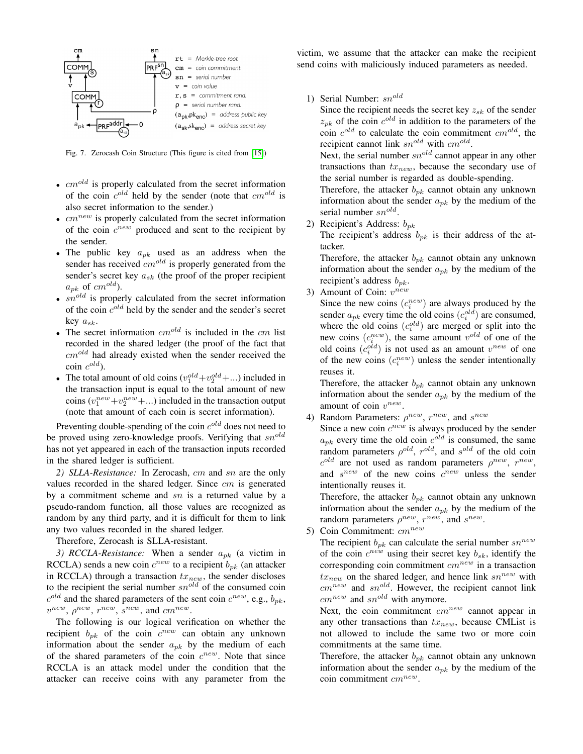

<span id="page-9-0"></span>Fig. 7. Zerocash Coin Structure (This figure is cited from [\[15\]](#page-8-14))

- $cm^{old}$  is properly calculated from the secret information of the coin  $c^{old}$  held by the sender (note that  $cm^{old}$  is also secret information to the sender.)
- $cm^{new}$  is properly calculated from the secret information of the coin  $c^{new}$  produced and sent to the recipient by the sender.
- The public key  $a_{pk}$  used as an address when the sender has received  $cm^{old}$  is properly generated from the sender's secret key  $a_{sk}$  (the proof of the proper recipient  $a_{pk}$  of  $cm^{old}$ ).
- $sn^{old}$  is properly calculated from the secret information of the coin  $c^{old}$  held by the sender and the sender's secret key  $a_{sk}$ .
- The secret information  $cm^{old}$  is included in the  $cm$  list recorded in the shared ledger (the proof of the fact that  $cm^{old}$  had already existed when the sender received the  $\text{coin } c^{old}$ ).
- The total amount of old coins  $(v_1^{old} + v_2^{old} + ...)$  included in the transaction input is equal to the total amount of new coins  $(v_1^{new} + v_2^{new} + ...)$  included in the transaction output (note that amount of each coin is secret information).

Preventing double-spending of the coin  $c^{old}$  does not need to be proved using zero-knowledge proofs. Verifying that  $sn^{old}$ has not yet appeared in each of the transaction inputs recorded in the shared ledger is sufficient.

*2) SLLA-Resistance:* In Zerocash, cm and sn are the only values recorded in the shared ledger. Since cm is generated by a commitment scheme and sn is a returned value by a pseudo-random function, all those values are recognized as random by any third party, and it is difficult for them to link any two values recorded in the shared ledger.

Therefore, Zerocash is SLLA-resistant.

*3) RCCLA-Resistance:* When a sender  $a_{pk}$  (a victim in RCCLA) sends a new coin  $c^{new}$  to a recipient  $b_{pk}$  (an attacker in RCCLA) through a transaction  $tx_{new}$ , the sender discloses to the recipient the serial number  $sn^{old}$  of the consumed coin  $c^{old}$  and the shared parameters of the sent coin  $c^{new}$ , e.g.,  $b_{pk}$ ,  $v^{new}$ ,  $\rho^{new}$ ,  $r^{new}$ ,  $s^{new}$ , and  $cm^{new}$ .

The following is our logical verification on whether the recipient  $b_{pk}$  of the coin  $c^{new}$  can obtain any unknown information about the sender  $a_{nk}$  by the medium of each of the shared parameters of the coin  $c^{new}$ . Note that since RCCLA is an attack model under the condition that the attacker can receive coins with any parameter from the victim, we assume that the attacker can make the recipient send coins with maliciously induced parameters as needed.

1) Serial Number:  $sn^{old}$ 

Since the recipient needs the secret key  $z_{sk}$  of the sender  $z_{pk}$  of the coin  $c^{old}$  in addition to the parameters of the coin  $c^{old}$  to calculate the coin commitment  $cm^{old}$ , the recipient cannot link  $sn^{old}$  with  $cm^{old}$ .

Next, the serial number  $sn^{old}$  cannot appear in any other transactions than  $tx_{new}$ , because the secondary use of the serial number is regarded as double-spending.

Therefore, the attacker  $b_{pk}$  cannot obtain any unknown information about the sender  $a_{pk}$  by the medium of the serial number  $sn^{old}$ .

2) Recipient's Address:  $b_{pk}$ 

The recipient's address  $b_{pk}$  is their address of the attacker.

Therefore, the attacker  $b_{nk}$  cannot obtain any unknown information about the sender  $a_{pk}$  by the medium of the recipient's address  $b_{nk}$ .

3) Amount of Coin:  $v^{new}$ 

Since the new coins  $(c_i^{new})$  are always produced by the sender  $a_{pk}$  every time the old coins  $(c_i^{old})$  are consumed, where the old coins  $(c_i^{old})$  are merged or split into the new coins  $(c_i^{new})$ , the same amount  $v^{old}$  of one of the old coins  $(c_i^{old})$  is not used as an amount  $v^{new}$  of one of the new coins  $(c_i^{new})$  unless the sender intentionally reuses it.

Therefore, the attacker  $b_{pk}$  cannot obtain any unknown information about the sender  $a_{pk}$  by the medium of the amount of coin  $v^{new}$ .

4) Random Parameters:  $\rho^{new}$ ,  $r^{new}$ , and  $s^{new}$ 

Since a new coin  $c^{new}$  is always produced by the sender  $a_{pk}$  every time the old coin  $c^{old}$  is consumed, the same random parameters  $\rho^{old}$ ,  $r^{old}$ , and  $s^{old}$  of the old coin  $c^{old}$  are not used as random parameters  $\rho^{new}$ ,  $r^{new}$ , and  $s^{new}$  of the new coins  $c^{new}$  unless the sender intentionally reuses it.

Therefore, the attacker  $b_{pk}$  cannot obtain any unknown information about the sender  $a_{pk}$  by the medium of the random parameters  $\rho^{new}$ ,  $r^{new}$ , and  $s^{new}$ .

5) Coin Commitment:  $cm^{new}$ 

The recipient  $b_{pk}$  can calculate the serial number  $sn^{new}$ of the coin  $c^{new}$  using their secret key  $b_{sk}$ , identify the corresponding coin commitment  $cm^{new}$  in a transaction  $tx_{new}$  on the shared ledger, and hence link  $sn^{new}$  with  $cm^{new}$  and  $sn^{old}$ . However, the recipient cannot link  $cm^{new}$  and  $sn^{old}$  with anymore.

Next, the coin commitment  $cm^{new}$  cannot appear in any other transactions than  $tx_{new}$ , because CMList is not allowed to include the same two or more coin commitments at the same time.

Therefore, the attacker  $b_{pk}$  cannot obtain any unknown information about the sender  $a_{nk}$  by the medium of the coin commitment  $cm^{new}$ .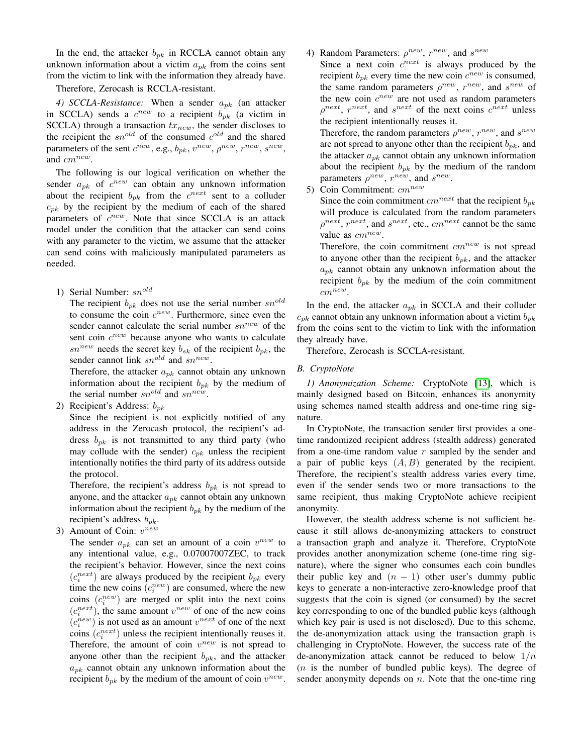In the end, the attacker  $b_{pk}$  in RCCLA cannot obtain any unknown information about a victim  $a_{pk}$  from the coins sent from the victim to link with the information they already have.

# Therefore, Zerocash is RCCLA-resistant.

*4) SCCLA-Resistance:* When a sender  $a_{pk}$  (an attacker in SCCLA) sends a  $c^{new}$  to a recipient  $b_{pk}$  (a victim in SCCLA) through a transaction  $tx_{new}$ , the sender discloses to the recipient the  $sn^{old}$  of the consumed  $c^{old}$  and the shared parameters of the sent  $c^{new}$ , e.g.,  $b_{pk}$ ,  $v^{new}$ ,  $\rho^{new}$ ,  $r^{new}$ ,  $s^{new}$ , and  $cm^{new}$ .

The following is our logical verification on whether the sender  $a_{pk}$  of  $c^{new}$  can obtain any unknown information about the recipient  $b_{pk}$  from the  $c^{next}$  sent to a colluder  $c_{pk}$  by the recipient by the medium of each of the shared parameters of  $c^{new}$ . Note that since SCCLA is an attack model under the condition that the attacker can send coins with any parameter to the victim, we assume that the attacker can send coins with maliciously manipulated parameters as needed.

1) Serial Number:  $sn^{old}$ 

The recipient  $b_{pk}$  does not use the serial number  $sn^{old}$ to consume the coin  $c^{new}$ . Furthermore, since even the sender cannot calculate the serial number  $sn^{new}$  of the sent coin  $c^{new}$  because anyone who wants to calculate  $sn^{new}$  needs the secret key  $b_{sk}$  of the recipient  $b_{pk}$ , the sender cannot link  $sn^{old}$  and  $sn^{new}$ .

Therefore, the attacker  $a_{pk}$  cannot obtain any unknown information about the recipient  $b_{pk}$  by the medium of the serial number  $sn^{old}$  and  $sn^{new}$ .

2) Recipient's Address:  $b_{nk}$ 

Since the recipient is not explicitly notified of any address in the Zerocash protocol, the recipient's address  $b_{pk}$  is not transmitted to any third party (who may collude with the sender)  $c_{nk}$  unless the recipient intentionally notifies the third party of its address outside the protocol.

Therefore, the recipient's address  $b_{pk}$  is not spread to anyone, and the attacker  $a_{pk}$  cannot obtain any unknown information about the recipient  $b_{pk}$  by the medium of the recipient's address  $b_{pk}$ .

3) Amount of Coin:  $v^{new}$ 

The sender  $a_{pk}$  can set an amount of a coin  $v^{new}$  to any intentional value, e.g., 0.07007007ZEC, to track the recipient's behavior. However, since the next coins  $(c_i^{next})$  are always produced by the recipient  $b_{pk}$  every time the new coins  $(c_i^{new})$  are consumed, where the new coins  $(c_i^{new})$  are merged or split into the next coins  $(c_i^{next})$ , the same amount  $v^{new}$  of one of the new coins  $(c_i^{new})$  is not used as an amount  $v^{next}$  of one of the next coins  $(c_i^{next})$  unless the recipient intentionally reuses it. Therefore, the amount of coin  $v^{new}$  is not spread to anyone other than the recipient  $b_{pk}$ , and the attacker  $a_{nk}$  cannot obtain any unknown information about the recipient  $b_{pk}$  by the medium of the amount of coin  $v^{new}$ . 4) Random Parameters:  $\rho^{new}$ ,  $r^{new}$ , and  $s^{new}$ 

Since a next coin  $c^{next}$  is always produced by the recipient  $b_{pk}$  every time the new coin  $c^{new}$  is consumed, the same random parameters  $\rho^{new}$ ,  $r^{new}$ , and  $s^{new}$  of the new coin  $c^{new}$  are not used as random parameters  $\rho^{next}$ ,  $r^{next}$ , and  $s^{next}$  of the next coins  $c^{next}$  unless the recipient intentionally reuses it.

Therefore, the random parameters  $\rho^{new}$ ,  $r^{new}$ , and  $s^{new}$ are not spread to anyone other than the recipient  $b_{pk}$ , and the attacker  $a_{pk}$  cannot obtain any unknown information about the recipient  $b_{pk}$  by the medium of the random parameters  $\rho^{new}$ ,  $r^{new}$ , and  $s^{new}$ .

5) Coin Commitment:  $cm^{new}$ 

Since the coin commitment  $cm^{next}$  that the recipient  $b_{pk}$ will produce is calculated from the random parameters  $\rho^{next}$ ,  $r^{next}$ , and  $s^{next}$ , etc.,  $cm^{next}$  cannot be the same value as  $cm^{new}$ .

Therefore, the coin commitment  $cm^{new}$  is not spread to anyone other than the recipient  $b_{nk}$ , and the attacker  $a_{nk}$  cannot obtain any unknown information about the recipient  $b_{nk}$  by the medium of the coin commitment  $cm^{new}$ .

In the end, the attacker  $a_{pk}$  in SCCLA and their colluder  $c_{pk}$  cannot obtain any unknown information about a victim  $b_{pk}$ from the coins sent to the victim to link with the information they already have.

Therefore, Zerocash is SCCLA-resistant.

#### *B. CryptoNote*

*1) Anonymization Scheme:* CryptoNote [\[13\]](#page-8-12), which is mainly designed based on Bitcoin, enhances its anonymity using schemes named stealth address and one-time ring signature.

In CryptoNote, the transaction sender first provides a onetime randomized recipient address (stealth address) generated from a one-time random value  $r$  sampled by the sender and a pair of public keys  $(A, B)$  generated by the recipient. Therefore, the recipient's stealth address varies every time, even if the sender sends two or more transactions to the same recipient, thus making CryptoNote achieve recipient anonymity.

However, the stealth address scheme is not sufficient because it still allows de-anonymizing attackers to construct a transaction graph and analyze it. Therefore, CryptoNote provides another anonymization scheme (one-time ring signature), where the signer who consumes each coin bundles their public key and  $(n - 1)$  other user's dummy public keys to generate a non-interactive zero-knowledge proof that suggests that the coin is signed (or consumed) by the secret key corresponding to one of the bundled public keys (although which key pair is used is not disclosed). Due to this scheme, the de-anonymization attack using the transaction graph is challenging in CryptoNote. However, the success rate of the de-anonymization attack cannot be reduced to below  $1/n$  $(n$  is the number of bundled public keys). The degree of sender anonymity depends on  $n$ . Note that the one-time ring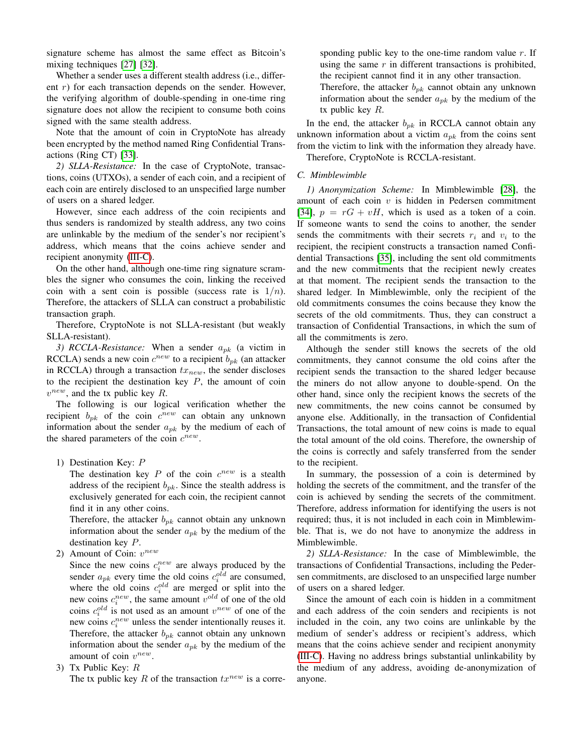signature scheme has almost the same effect as Bitcoin's mixing techniques [\[27\]](#page-8-26) [\[32\]](#page-8-32).

Whether a sender uses a different stealth address (i.e., different  $r$ ) for each transaction depends on the sender. However, the verifying algorithm of double-spending in one-time ring signature does not allow the recipient to consume both coins signed with the same stealth address.

Note that the amount of coin in CryptoNote has already been encrypted by the method named Ring Confidential Transactions (Ring CT) [\[33\]](#page-8-33).

*2) SLLA-Resistance:* In the case of CryptoNote, transactions, coins (UTXOs), a sender of each coin, and a recipient of each coin are entirely disclosed to an unspecified large number of users on a shared ledger.

However, since each address of the coin recipients and thus senders is randomized by stealth address, any two coins are unlinkable by the medium of the sender's nor recipient's address, which means that the coins achieve sender and recipient anonymity [\(III-C\)](#page-3-3).

On the other hand, although one-time ring signature scrambles the signer who consumes the coin, linking the received coin with a sent coin is possible (success rate is  $1/n$ ). Therefore, the attackers of SLLA can construct a probabilistic transaction graph.

Therefore, CryptoNote is not SLLA-resistant (but weakly SLLA-resistant).

*3) RCCLA-Resistance:* When a sender  $a_{pk}$  (a victim in RCCLA) sends a new coin  $c^{new}$  to a recipient  $b_{pk}$  (an attacker in RCCLA) through a transaction  $tx_{new}$ , the sender discloses to the recipient the destination key  $P$ , the amount of coin  $v^{new}$ , and the tx public key R.

The following is our logical verification whether the recipient  $b_{pk}$  of the coin  $c^{new}$  can obtain any unknown information about the sender  $a_{pk}$  by the medium of each of the shared parameters of the coin  $c^{new}$ .

1) Destination Key: P

The destination key  $P$  of the coin  $c^{new}$  is a stealth address of the recipient  $b_{pk}$ . Since the stealth address is exclusively generated for each coin, the recipient cannot find it in any other coins.

Therefore, the attacker  $b_{pk}$  cannot obtain any unknown information about the sender  $a_{pk}$  by the medium of the destination key P.

2) Amount of Coin:  $v^{new}$ 

Since the new coins  $c_i^{new}$  are always produced by the sender  $a_{pk}$  every time the old coins  $c_i^{old}$  are consumed, where the old coins  $c_i^{old}$  are merged or split into the new coins  $c_i^{new}$ , the same amount  $v^{old}$  of one of the old coins  $c_i^{old}$  is not used as an amount  $v^{new}$  of one of the new coins  $c_i^{new}$  unless the sender intentionally reuses it. Therefore, the attacker  $b_{pk}$  cannot obtain any unknown information about the sender  $a_{pk}$  by the medium of the amount of coin  $v^{new}$ .

3) Tx Public Key:  $R$ 

The tx public key R of the transaction  $tx^{new}$  is a corre-

sponding public key to the one-time random value  $r$ . If using the same  $r$  in different transactions is prohibited, the recipient cannot find it in any other transaction.

Therefore, the attacker  $b_{pk}$  cannot obtain any unknown information about the sender  $a_{pk}$  by the medium of the tx public key  $R$ .

In the end, the attacker  $b_{pk}$  in RCCLA cannot obtain any unknown information about a victim  $a_{pk}$  from the coins sent from the victim to link with the information they already have.

Therefore, CryptoNote is RCCLA-resistant.

## *C. Mimblewimble*

*1) Anonymization Scheme:* In Mimblewimble [\[28\]](#page-8-28), the amount of each coin  $v$  is hidden in Pedersen commitment [\[34\]](#page-8-34),  $p = rG + vH$ , which is used as a token of a coin. If someone wants to send the coins to another, the sender sends the commitments with their secrets  $r_i$  and  $v_i$  to the recipient, the recipient constructs a transaction named Confidential Transactions [\[35\]](#page-8-35), including the sent old commitments and the new commitments that the recipient newly creates at that moment. The recipient sends the transaction to the shared ledger. In Mimblewimble, only the recipient of the old commitments consumes the coins because they know the secrets of the old commitments. Thus, they can construct a transaction of Confidential Transactions, in which the sum of all the commitments is zero.

Although the sender still knows the secrets of the old commitments, they cannot consume the old coins after the recipient sends the transaction to the shared ledger because the miners do not allow anyone to double-spend. On the other hand, since only the recipient knows the secrets of the new commitments, the new coins cannot be consumed by anyone else. Additionally, in the transaction of Confidential Transactions, the total amount of new coins is made to equal the total amount of the old coins. Therefore, the ownership of the coins is correctly and safely transferred from the sender to the recipient.

In summary, the possession of a coin is determined by holding the secrets of the commitment, and the transfer of the coin is achieved by sending the secrets of the commitment. Therefore, address information for identifying the users is not required; thus, it is not included in each coin in Mimblewimble. That is, we do not have to anonymize the address in Mimblewimble.

*2) SLLA-Resistance:* In the case of Mimblewimble, the transactions of Confidential Transactions, including the Pedersen commitments, are disclosed to an unspecified large number of users on a shared ledger.

Since the amount of each coin is hidden in a commitment and each address of the coin senders and recipients is not included in the coin, any two coins are unlinkable by the medium of sender's address or recipient's address, which means that the coins achieve sender and recipient anonymity [\(III-C\)](#page-3-3). Having no address brings substantial unlinkability by the medium of any address, avoiding de-anonymization of anyone.